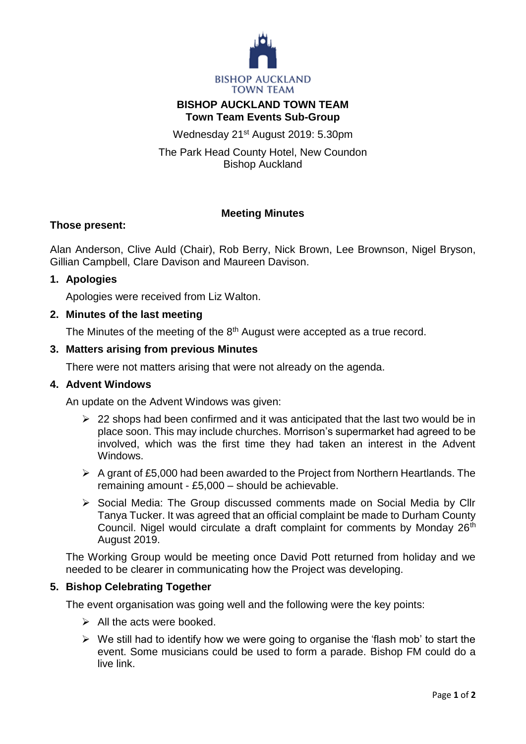

# **BISHOP AUCKLAND TOWN TEAM Town Team Events Sub-Group**

Wednesday 21st August 2019: 5.30pm

The Park Head County Hotel, New Coundon Bishop Auckland

# **Meeting Minutes**

# **Those present:**

Alan Anderson, Clive Auld (Chair), Rob Berry, Nick Brown, Lee Brownson, Nigel Bryson, Gillian Campbell, Clare Davison and Maureen Davison.

#### **1. Apologies**

Apologies were received from Liz Walton.

# **2. Minutes of the last meeting**

The Minutes of the meeting of the 8<sup>th</sup> August were accepted as a true record.

#### **3. Matters arising from previous Minutes**

There were not matters arising that were not already on the agenda.

## **4. Advent Windows**

An update on the Advent Windows was given:

- $\geq$  22 shops had been confirmed and it was anticipated that the last two would be in place soon. This may include churches. Morrison's supermarket had agreed to be involved, which was the first time they had taken an interest in the Advent Windows.
- $\triangleright$  A grant of £5,000 had been awarded to the Project from Northern Heartlands. The remaining amount - £5,000 – should be achievable.
- Social Media: The Group discussed comments made on Social Media by Cllr Tanya Tucker. It was agreed that an official complaint be made to Durham County Council. Nigel would circulate a draft complaint for comments by Monday 26<sup>th</sup> August 2019.

The Working Group would be meeting once David Pott returned from holiday and we needed to be clearer in communicating how the Project was developing.

#### **5. Bishop Celebrating Together**

The event organisation was going well and the following were the key points:

- $\triangleright$  All the acts were booked.
- $\triangleright$  We still had to identify how we were going to organise the 'flash mob' to start the event. Some musicians could be used to form a parade. Bishop FM could do a live link.